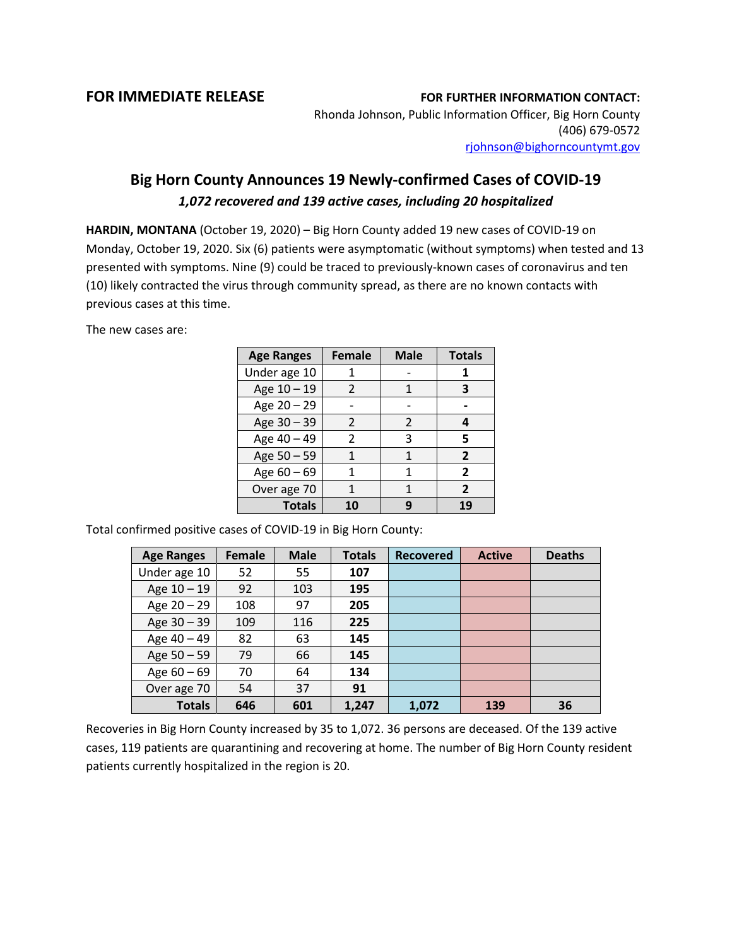## **FOR IMMEDIATE RELEASE FOR FURTHER INFORMATION CONTACT:**

Rhonda Johnson, Public Information Officer, Big Horn County (406) 679-0572 [rjohnson@bighorncountymt.gov](mailto:rjohnson@bighorncountymt.gov)

## **Big Horn County Announces 19 Newly-confirmed Cases of COVID-19** *1,072 recovered and 139 active cases, including 20 hospitalized*

**HARDIN, MONTANA** (October 19, 2020) – Big Horn County added 19 new cases of COVID-19 on Monday, October 19, 2020. Six (6) patients were asymptomatic (without symptoms) when tested and 13 presented with symptoms. Nine (9) could be traced to previously-known cases of coronavirus and ten (10) likely contracted the virus through community spread, as there are no known contacts with previous cases at this time.

The new cases are:

| <b>Age Ranges</b> | <b>Female</b> | <b>Male</b>    | <b>Totals</b>  |
|-------------------|---------------|----------------|----------------|
| Under age 10      |               |                | 1              |
| Age 10 - 19       | $\mathcal{P}$ | 1              | 3              |
| Age 20 - 29       |               |                |                |
| Age 30 - 39       | $\mathcal{P}$ | $\mathfrak{p}$ | 4              |
| Age 40 - 49       | $\mathcal{P}$ | 3              | 5              |
| Age 50 - 59       | 1             | 1              | $\overline{2}$ |
| Age $60 - 69$     | 1             | 1              | $\overline{2}$ |
| Over age 70       |               | 1              | $\overline{2}$ |
| <b>Totals</b>     | 10            | q              | 19             |

Total confirmed positive cases of COVID-19 in Big Horn County:

| <b>Age Ranges</b> | <b>Female</b> | <b>Male</b> | <b>Totals</b> | <b>Recovered</b> | <b>Active</b> | <b>Deaths</b> |
|-------------------|---------------|-------------|---------------|------------------|---------------|---------------|
| Under age 10      | 52            | 55          | 107           |                  |               |               |
| Age 10 - 19       | 92            | 103         | 195           |                  |               |               |
| Age 20 - 29       | 108           | 97          | 205           |                  |               |               |
| Age $30 - 39$     | 109           | 116         | 225           |                  |               |               |
| Age 40 - 49       | 82            | 63          | 145           |                  |               |               |
| Age 50 - 59       | 79            | 66          | 145           |                  |               |               |
| Age $60 - 69$     | 70            | 64          | 134           |                  |               |               |
| Over age 70       | 54            | 37          | 91            |                  |               |               |
| <b>Totals</b>     | 646           | 601         | 1,247         | 1,072            | 139           | 36            |

Recoveries in Big Horn County increased by 35 to 1,072. 36 persons are deceased. Of the 139 active cases, 119 patients are quarantining and recovering at home. The number of Big Horn County resident patients currently hospitalized in the region is 20.